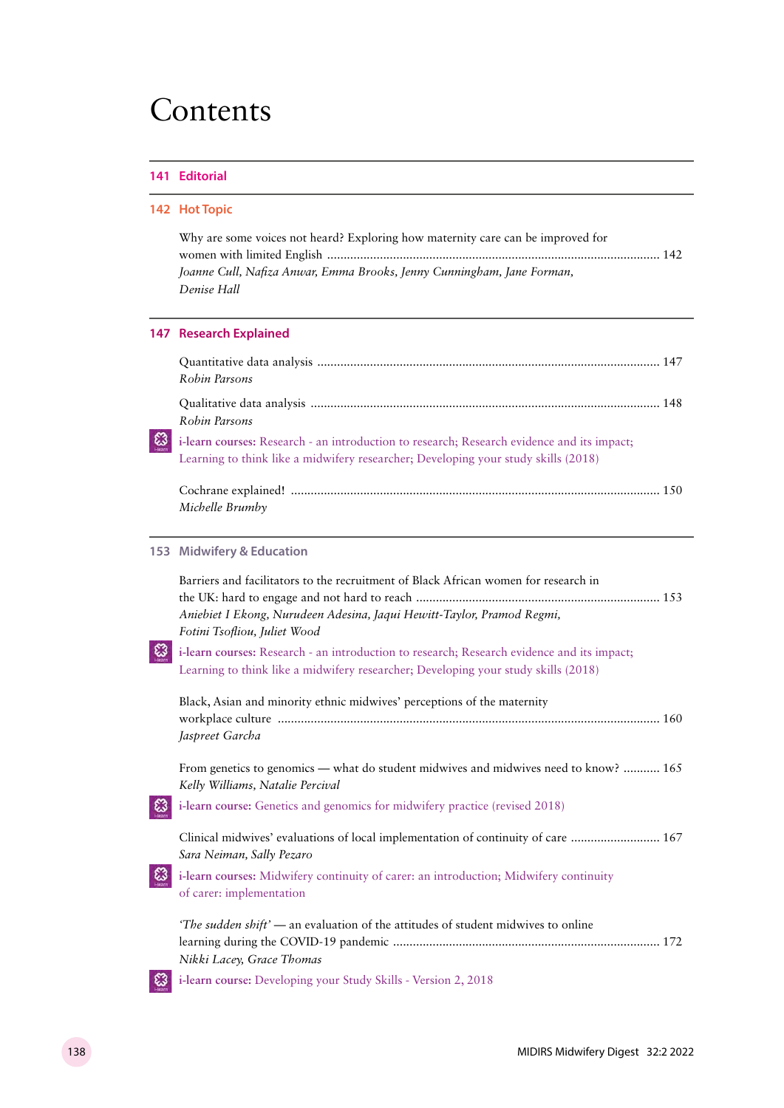## Contents

#### **141 Editorial**

l,

|    | 142 Hot Topic                                                                                                                                                                                                                                                                                                                                                                     |
|----|-----------------------------------------------------------------------------------------------------------------------------------------------------------------------------------------------------------------------------------------------------------------------------------------------------------------------------------------------------------------------------------|
|    | Why are some voices not heard? Exploring how maternity care can be improved for<br>Joanne Cull, Nafiza Anwar, Emma Brooks, Jenny Cunningham, Jane Forman,<br>Denise Hall                                                                                                                                                                                                          |
|    | <b>147 Research Explained</b>                                                                                                                                                                                                                                                                                                                                                     |
|    | Robin Parsons                                                                                                                                                                                                                                                                                                                                                                     |
|    | Robin Parsons                                                                                                                                                                                                                                                                                                                                                                     |
| ಟ  | i-learn courses: Research - an introduction to research; Research evidence and its impact;<br>Learning to think like a midwifery researcher; Developing your study skills (2018)                                                                                                                                                                                                  |
|    | Michelle Brumby                                                                                                                                                                                                                                                                                                                                                                   |
|    | 153 Midwifery & Education                                                                                                                                                                                                                                                                                                                                                         |
| E3 | Barriers and facilitators to the recruitment of Black African women for research in<br>Aniebiet I Ekong, Nurudeen Adesina, Jaqui Hewitt-Taylor, Pramod Regmi,<br>Fotini Tsofliou, Juliet Wood<br>i-learn courses: Research - an introduction to research; Research evidence and its impact;<br>Learning to think like a midwifery researcher; Developing your study skills (2018) |
|    | Black, Asian and minority ethnic midwives' perceptions of the maternity<br>Jaspreet Garcha                                                                                                                                                                                                                                                                                        |
|    | From genetics to genomics — what do student midwives and midwives need to know?  165<br>Kelly Williams, Natalie Percival                                                                                                                                                                                                                                                          |
|    | i-learn course: Genetics and genomics for midwifery practice (revised 2018)                                                                                                                                                                                                                                                                                                       |
|    | Clinical midwives' evaluations of local implementation of continuity of care  167<br>Sara Neiman, Sally Pezaro                                                                                                                                                                                                                                                                    |
|    | i-learn courses: Midwifery continuity of carer: an introduction; Midwifery continuity<br>of carer: implementation                                                                                                                                                                                                                                                                 |
|    | "The sudden shift' — an evaluation of the attitudes of student midwives to online<br>Nikki Lacey, Grace Thomas                                                                                                                                                                                                                                                                    |
|    | i-learn course: Developing your Study Skills - Version 2, 2018                                                                                                                                                                                                                                                                                                                    |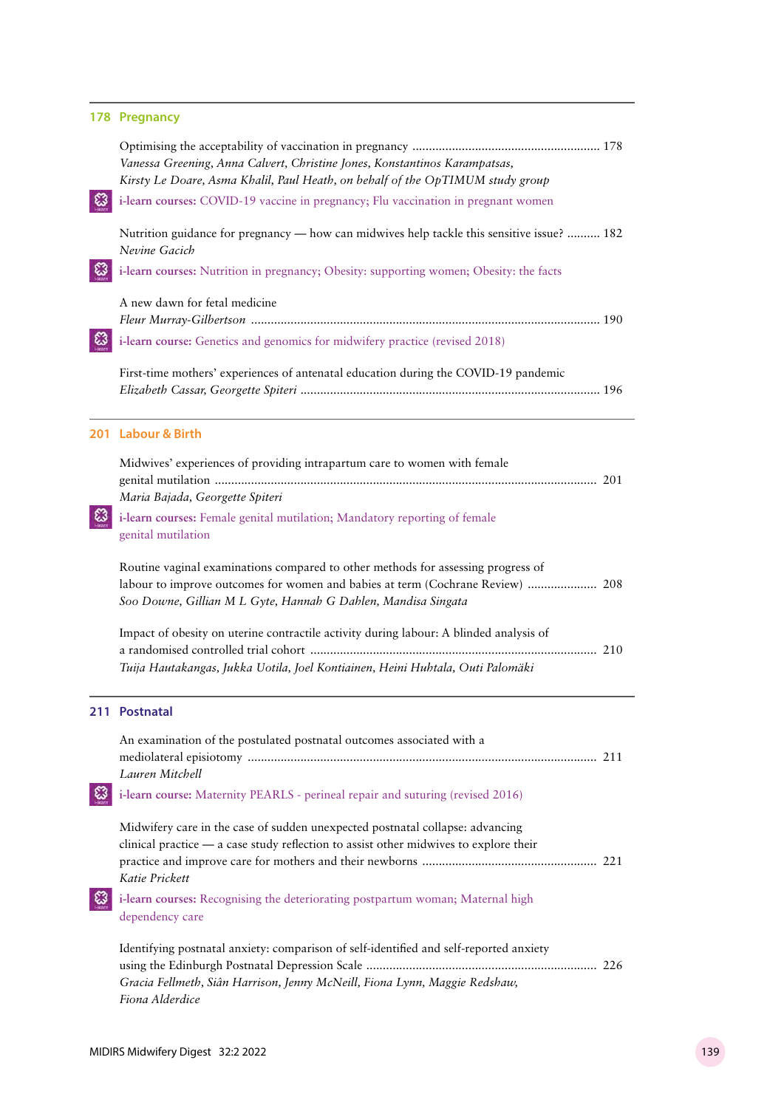|      | 178 Pregnancy                                                                                                                                                                                                                       |  |
|------|-------------------------------------------------------------------------------------------------------------------------------------------------------------------------------------------------------------------------------------|--|
|      | Vanessa Greening, Anna Calvert, Christine Jones, Konstantinos Karampatsas,<br>Kirsty Le Doare, Asma Khalil, Paul Heath, on behalf of the OpTIMUM study group                                                                        |  |
|      | i-learn courses: COVID-19 vaccine in pregnancy; Flu vaccination in pregnant women                                                                                                                                                   |  |
|      | Nutrition guidance for pregnancy — how can midwives help tackle this sensitive issue?  182<br>Nevine Gacich                                                                                                                         |  |
|      | i-learn courses: Nutrition in pregnancy; Obesity: supporting women; Obesity: the facts                                                                                                                                              |  |
|      | A new dawn for fetal medicine                                                                                                                                                                                                       |  |
|      | i-learn course: Genetics and genomics for midwifery practice (revised 2018)                                                                                                                                                         |  |
|      | First-time mothers' experiences of antenatal education during the COVID-19 pandemic                                                                                                                                                 |  |
|      | 201 Labour & Birth                                                                                                                                                                                                                  |  |
| تيكا | Midwives' experiences of providing intrapartum care to women with female<br>Maria Bajada, Georgette Spiteri<br>i-learn courses: Female genital mutilation; Mandatory reporting of female                                            |  |
|      | genital mutilation                                                                                                                                                                                                                  |  |
|      | Routine vaginal examinations compared to other methods for assessing progress of<br>labour to improve outcomes for women and babies at term (Cochrane Review)  208<br>Soo Downe, Gillian M L Gyte, Hannah G Dahlen, Mandisa Singata |  |
|      | Impact of obesity on uterine contractile activity during labour: A blinded analysis of<br>Tuija Hautakangas, Jukka Uotila, Joel Kontiainen, Heini Huhtala, Outi Palomäki                                                            |  |
|      |                                                                                                                                                                                                                                     |  |
|      | 211 Postnatal                                                                                                                                                                                                                       |  |
|      | An examination of the postulated postnatal outcomes associated with a<br>Lauren Mitchell                                                                                                                                            |  |
|      | i-learn course: Maternity PEARLS - perineal repair and suturing (revised 2016)                                                                                                                                                      |  |
|      | Midwifery care in the case of sudden unexpected postnatal collapse: advancing<br>clinical practice - a case study reflection to assist other midwives to explore their<br>Katie Prickett                                            |  |
|      | i-learn courses: Recognising the deteriorating postpartum woman; Maternal high<br>dependency care                                                                                                                                   |  |
|      | Identifying postnatal anxiety: comparison of self-identified and self-reported anxiety                                                                                                                                              |  |
|      | Gracia Fellmeth, Siân Harrison, Jenny McNeill, Fiona Lynn, Maggie Redshaw,<br>Fiona Alderdice                                                                                                                                       |  |